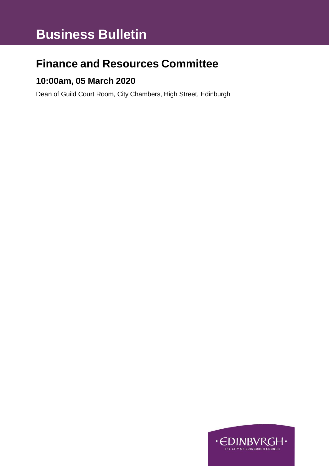# **Business Bulletin**

## **Finance and Resources Committee**

### **10:00am, 05 March 2020**

Dean of Guild Court Room, City Chambers, High Street, Edinburgh

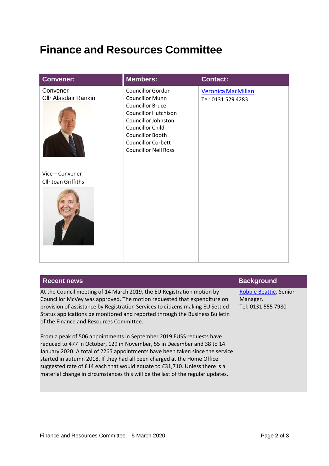### **Finance and Resources Committee**

| <b>Convener:</b>                                         | <b>Members:</b>                                                                                                                                                                                                                         | Contact:                                 |
|----------------------------------------------------------|-----------------------------------------------------------------------------------------------------------------------------------------------------------------------------------------------------------------------------------------|------------------------------------------|
| Convener<br><b>Cllr Alasdair Rankin</b><br>Vice-Convener | Councillor Gordon<br><b>Councillor Munn</b><br><b>Councillor Bruce</b><br><b>Councillor Hutchison</b><br>Councillor Johnston<br><b>Councillor Child</b><br>Councillor Booth<br><b>Councillor Corbett</b><br><b>Councillor Neil Ross</b> | Veronica MacMillan<br>Tel: 0131 529 4283 |
| Cllr Joan Griffiths                                      |                                                                                                                                                                                                                                         |                                          |

| <b>Recent news</b>                                                                                                                                                                                                                  | <b>Background</b>                                        |
|-------------------------------------------------------------------------------------------------------------------------------------------------------------------------------------------------------------------------------------|----------------------------------------------------------|
| At the Council meeting of 14 March 2019, the EU Registration motion by<br>Councillor McVey was approved. The motion requested that expenditure on<br>provision of assistance by Registration Services to citizens making EU Settled | Robbie Beattie, Senior<br>Manager.<br>Tel: 0131 555 7980 |
| Status applications be monitored and reported through the Business Bulletin<br>of the Finance and Resources Committee.                                                                                                              |                                                          |
| From a peak of 506 appointments in September 2019 EUSS requests have                                                                                                                                                                |                                                          |
| reduced to 477 in October, 129 in November, 55 in December and 38 to 14<br>January 2020. A total of 2265 appointments have been taken since the service                                                                             |                                                          |

started in autumn 2018. If they had all been charged at the Home Office suggested rate of £14 each that would equate to £31,710. Unless there is a material change in circumstances this will be the last of the regular updates.